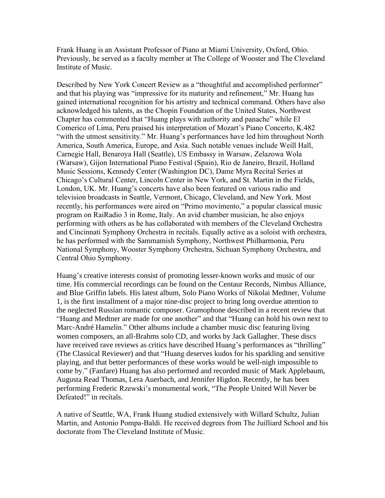Frank Huang is an Assistant Professor of Piano at Miami University, Oxford, Ohio. Previously, he served as a faculty member at The College of Wooster and The Cleveland Institute of Music.

Described by New York Concert Review as a "thoughtful and accomplished performer" and that his playing was "impressive for its maturity and refinement," Mr. Huang has gained international recognition for his artistry and technical command. Others have also acknowledged his talents, as the Chopin Foundation of the United States, Northwest Chapter has commented that "Huang plays with authority and panache" while El Comerico of Lima, Peru praised his interpretation of Mozart's Piano Concerto, K.482 "with the utmost sensitivity." Mr. Huang's performances have led him throughout North America, South America, Europe, and Asia. Such notable venues include Weill Hall, Carnegie Hall, Benaroya Hall (Seattle), US Embassy in Warsaw, Zelazowa Wola (Warsaw), Gijon International Piano Festival (Spain), Rio de Janeiro, Brazil, Holland Music Sessions, Kennedy Center (Washington DC), Dame Myra Recital Series at Chicago's Cultural Center, Lincoln Center in New York, and St. Martin in the Fields, London, UK. Mr. Huang's concerts have also been featured on various radio and television broadcasts in Seattle, Vermont, Chicago, Cleveland, and New York. Most recently, his performances were aired on "Primo movimento," a popular classical music program on RaiRadio 3 in Rome, Italy. An avid chamber musician, he also enjoys performing with others as he has collaborated with members of the Cleveland Orchestra and Cincinnati Symphony Orchestra in recitals. Equally active as a soloist with orchestra, he has performed with the Sammamish Symphony, Northwest Philharmonia, Peru National Symphony, Wooster Symphony Orchestra, Sichuan Symphony Orchestra, and Central Ohio Symphony.

Huang's creative interests consist of promoting lesser-known works and music of our time. His commercial recordings can be found on the Centaur Records, Nimbus Alliance, and Blue Griffin labels. His latest album, Solo Piano Works of Nikolai Medtner, Volume 1, is the first installment of a major nine-disc project to bring long overdue attention to the neglected Russian romantic composer. Gramophone described in a recent review that "Huang and Medtner are made for one another" and that "Huang can hold his own next to Marc-André Hamelin." Other albums include a chamber music disc featuring living women composers, an all-Brahms solo CD, and works by Jack Gallagher. These discs have received rave reviews as critics have described Huang's performances as "thrilling" (The Classical Reviewer) and that "Huang deserves kudos for his sparkling and sensitive playing, and that better performances of these works would be well-nigh impossible to come by." (Fanfare) Huang has also performed and recorded music of Mark Applebaum, Augusta Read Thomas, Lera Auerbach, and Jennifer Higdon. Recently, he has been performing Frederic Rzewski's monumental work, "The People United Will Never be Defeated!" in recitals.

A native of Seattle, WA, Frank Huang studied extensively with Willard Schultz, Julian Martin, and Antonio Pompa-Baldi. He received degrees from The Juilliard School and his doctorate from The Cleveland Institute of Music.